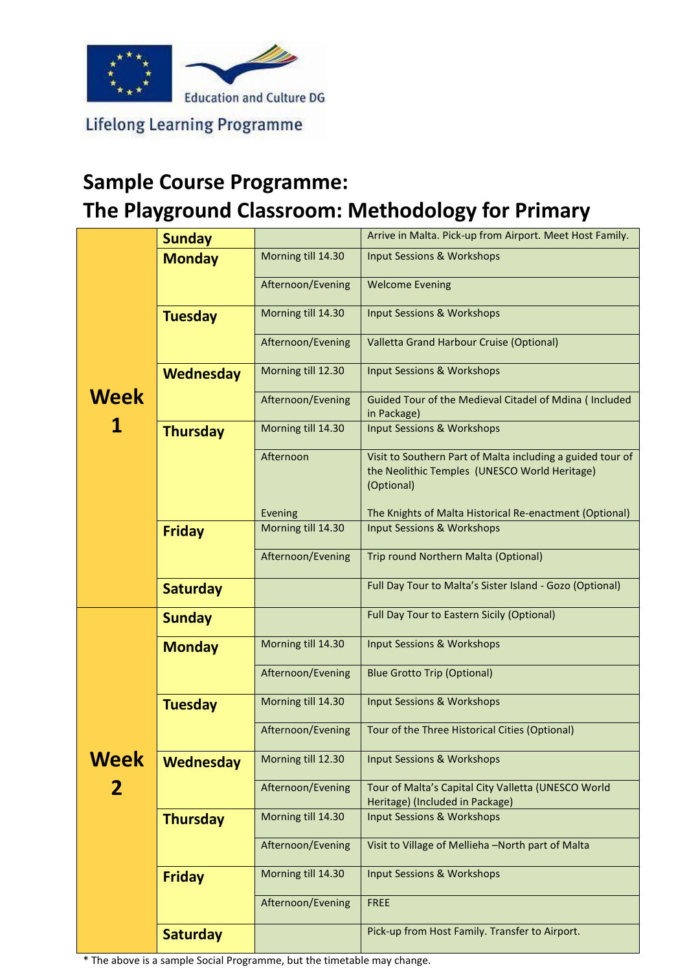

**Lifelong Learning Programme** 

## **Sample Course Programme: The Playground Classroom: Methodology for Primary**

|           | <b>Sunday</b>    |                    | Arrive in Malta. Pick-up from Airport. Meet Host Family.                                                                  |  |  |
|-----------|------------------|--------------------|---------------------------------------------------------------------------------------------------------------------------|--|--|
| Week<br>1 | <b>Monday</b>    | Morning till 14.30 | <b>Input Sessions &amp; Workshops</b>                                                                                     |  |  |
|           |                  | Afternoon/Evening  | <b>Welcome Evening</b>                                                                                                    |  |  |
|           | <b>Tuesday</b>   | Morning till 14.30 | <b>Input Sessions &amp; Workshops</b>                                                                                     |  |  |
|           |                  | Afternoon/Evening  | Valletta Grand Harbour Cruise (Optional)                                                                                  |  |  |
|           | <b>Wednesday</b> | Morning till 12.30 | <b>Input Sessions &amp; Workshops</b>                                                                                     |  |  |
|           |                  | Afternoon/Evening  | Guided Tour of the Medieval Citadel of Mdina ( Included<br>in Package)                                                    |  |  |
|           | <b>Thursday</b>  | Morning till 14.30 | <b>Input Sessions &amp; Workshops</b>                                                                                     |  |  |
|           |                  | Afternoon          | Visit to Southern Part of Malta including a guided tour of<br>the Neolithic Temples (UNESCO World Heritage)<br>(Optional) |  |  |
|           |                  | Evening            | The Knights of Malta Historical Re-enactment (Optional)                                                                   |  |  |
|           | <b>Friday</b>    | Morning till 14.30 | <b>Input Sessions &amp; Workshops</b>                                                                                     |  |  |
|           |                  | Afternoon/Evening  | Trip round Northern Malta (Optional)                                                                                      |  |  |
|           | <b>Saturday</b>  |                    | Full Day Tour to Malta's Sister Island - Gozo (Optional)                                                                  |  |  |
|           | <b>Sunday</b>    |                    | <b>Full Day Tour to Eastern Sicily (Optional)</b>                                                                         |  |  |
|           | <b>Monday</b>    | Morning till 14.30 | <b>Input Sessions &amp; Workshops</b>                                                                                     |  |  |
|           |                  | Afternoon/Evening  | <b>Blue Grotto Trip (Optional)</b>                                                                                        |  |  |
|           | <b>Tuesday</b>   | Morning till 14.30 | <b>Input Sessions &amp; Workshops</b>                                                                                     |  |  |
|           |                  | Afternoon/Evening  | Tour of the Three Historical Cities (Optional)                                                                            |  |  |
| Week      | <b>Wednesday</b> | Morning till 12.30 | <b>Input Sessions &amp; Workshops</b>                                                                                     |  |  |
|           |                  | Afternoon/Evening  | Tour of Malta's Capital City Valletta (UNESCO World<br>Heritage) (Included in Package)                                    |  |  |
|           | <b>Thursday</b>  | Morning till 14.30 | <b>Input Sessions &amp; Workshops</b>                                                                                     |  |  |
|           |                  |                    |                                                                                                                           |  |  |
|           |                  | Afternoon/Evening  | Visit to Village of Mellieha -North part of Malta                                                                         |  |  |
|           | <b>Friday</b>    | Morning till 14.30 | <b>Input Sessions &amp; Workshops</b>                                                                                     |  |  |
|           |                  | Afternoon/Evening  | <b>FREE</b>                                                                                                               |  |  |
|           | <b>Saturday</b>  |                    | Pick-up from Host Family. Transfer to Airport.                                                                            |  |  |

\* The above is a sample Social Programme, but the timetable may change.